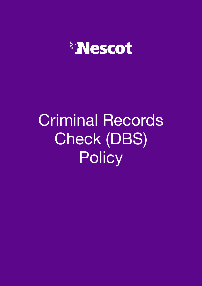

# Criminal Records Check (DBS) **Policy**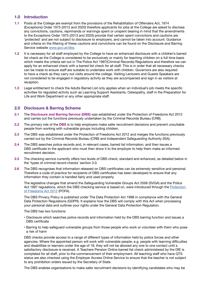# **1.0 Introduction**

- **1.1** Posts at the College are exempt from the provisions of the Rehabilitation of Offenders Act, 1974 (Exceptions) Order 1975 (2013 and 2020) therefore applicants for jobs at the College are asked to disclose any convictions, cautions, reprimands or warnings spent or unspent bearing in mind that the amendments to the Exceptions Order 1975 (2013 and 2020) provide that certain spent convictions and cautions are 'protected' and are not subject to disclosure to employers, and cannot be taken into account. Guidance and criteria on the filtering of these cautions and convictions can be found on the Disclosure and Barring Service website [www.gov.uk/dbs.](https://www.gov.uk/government/organisations/disclosure-and-barring-service)
- **1.2** It is necessary for all staff employed by the College to have an enhanced disclosure with a children's barred list check as the College is considered to be exclusively or mainly for teaching children on a full time basis which meets the criteria set out in The Police Act 1997(Criminal Records) Regulations and therefore we can apply for an enhanced check with a barred list check for all staff. This is in order that all necessary checks can be made to ensure staff are suitable to undertake work with children. Governors are also required to have a check as they carry out visits around the college. Visiting Lecturers and Guests Speakers are not considered to be engaged in regulatory activity as they are accompanied and sign in as visitors at reception.
- **1.3** Legal entitlement to check the Adults Barred List only applies when an individual's job meets the specific activities for regulated activity such as Learning Support Assistants, Osteopathy, staff in the Preparation for Life and Work Department or any other appropriate staff.

# **2.0 Disclosure & Barring Scheme**

- **2.1** The **Disclosure and Barring Service (DBS)** was established under the Protection of Freedoms Act 2012 and carries out the functions previously undertaken by the Criminal Records Bureau (CRB).
- **2.2** The primary role of the **DBS** is to help employers make safer recruitment decisions and prevent unsuitable people from working with vulnerable groups including children.
- **2.3** The DBS was established under the Protection of Freedoms Act 2012 and merges the functions previously carried out by the Criminal Records Bureau (CRB) and Independent Safeguarding Authority (ISA).
- **2.4** The DBS searches police records and, in relevant cases, barred list information, and then issues a DBS certificate to the applicant who must then show it to the employer to help them make an informed recruitment decision.
- **2.5** The checking service currently offers two levels of DBS check; standard and enhanced, as detailed below in the 'types of criminal record checks' section 3.0.
- **2.6** The DBS recognises that information released on DBS certificates can be extremely sensitive and personal. Therefore a code of practice for recipients of DBS certificates has been developed to ensure that any information they contain is handled fairly and used properly.

The legislative changes that amend the Safeguarding Vulnerable Groups Act 2006 (SVGA) and the Police Act 1997 regulations, which the DBS checking service is based on, were introduced through the Protection [of Freedoms Act 2012](https://www.gov.uk/government/publications/protection-of-freedoms-bill) (POFA).

The DBS Privacy Policy is published under The Data Protection Act 1998 in compliance with the General Data Protection Regulations (GDPR). It explains how the DBS will comply with this Act when processing your personal data and outlines your rights under the General Data Protection Regulation.

The DBS has two functions:

- Disclosure which searches police records and information held by the DBS barring function and issues a DBS certificate
- Barring to help safeguard vulnerable groups from those people who work or volunteer with them who pose a risk of harm

DBS checks provide access to a range of different types of information held by police forces and other agencies. Where the appointed person will work with vulnerable people, e.g. people with learning difficulties and disabilities or learners under the age of 18, they will not be allowed any one to one contact until a satisfactory disclosure is received. A Teachers Pension Online barred list check administered by the DfE is completed for all staff, prior to the commencement of their employment. All teaching staff who have QTS status are also checked using the Employer Access Online Service to ensure that the teacher is not subject to any prohibition orders issued by the Secretary of State.

The DBS enables organisations to make safer recruitment decisions by identifying candidates who may be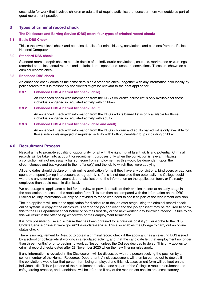unsuitable for work that involves children or adults that require activities that consider them vulnerable.as part of good recruitment practice.

# **3 Types of criminal record check**

### **The Disclosure and Barring Service (DBS) offers four types of criminal record check:-**

### **3.1 Basic DBS Check**

This is the lowest level check and contains details of criminal history, convictions and cautions from the Police National Computer.

### **3.2 Standard DBS check**

Standard more in depth checks contain details of an individual's convictions, cautions, reprimands or warnings recorded on police central records and includes both 'spent' and 'unspent' convictions. These are shown on a criminal records check.

### **3.3 Enhanced DBS check**

An enhanced check contains the same details as a standard check; together with any information held locally by police forces that it is reasonably considered might be relevant to the post applied for.

### **3.3.1 Enhanced DBS & barred list check (child)**

An enhanced check with information from the DBS's children's barred list is only available for those individuals engaged in regulated activity with children.

### **3.3.2 Enhanced DBS & barred list check (adult)**

An enhanced check with information from the DBS's adults barred list is only available for those individuals engaged in regulated activity with adults.

### **3.3.3 Enhanced DBS & barred list check (child and adult)**

An enhanced check with information from the DBS's children and adults barred list is only available for those individuals engaged in regulated activity with both vulnerable groups including children.

# **4.0 Recruitment Process**

Nescot aims to promote equality of opportunity for all with the right mix of talent, skills and potential. Criminal records will be taken into account for recruitment purposes only when the conviction is relevant. Having a conviction will not necessarily bar someone from employment as this would be dependent upon the circumstances and background to their offence(s) and the job to which they were applying.

All candidates should declare on their online application forms if they have any convictions, bind overs or cautions spent or unspent (taking into account paragraph 1.1). If this is not declared then potentially the College could withdraw any offer of employment due to falsification of the information on the application form, or if already employed then could result in dismissal.

We encourage all applicants called for interview to provide details of their criminal record at an early stage in the application process on the application form. This can then be compared with the information on the DBS Disclosure. Any information will only be provided to those who need to see it as part of the recruitment decision.

The job applicant will make the application for disclosure at the job offer stage using the criminal record check online system. A copy of the disclosure is sent to the job applicant and the job applicant may be required to show this to the HR Department either before or on their first day or the next working day following receipt. Failure to do this will result in the offer being withdrawn or their employment terminated.

It is now possible to use a disclosure that has been obtained for a previous post if you subscribe to the DBS Update Service online at www.gov.uk/dbs-update-service. This also enables the College to carry out an online status check.

There is no requirement for Nescot to obtain a criminal record check if the applicant has an existing DBS issued by a school or college whilst working in a regulated activity, and that the candidate left that employment no longer than three months' prior to beginning work at Nescot, unless the College decides to do so. This only applies to criminal record checks dated after 28 November 2020 when the new filtering rules apply.

If any information is revealed in the Disclosure it will be discussed with the person seeking the position by a senior member of the Human Resources Department. A risk assessment will then be carried out to decide if the convictions would bar that person from being employed and this risk assessment form will be kept on the individuals file. This is just one of the recruitment checks made as part of the College's robust recruitment and safeguarding practice, and candidates will be informed if any of the recruitment checks are unsatisfactory.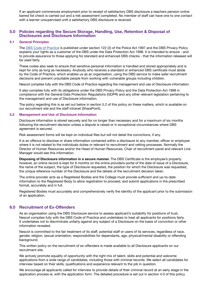If an applicant commences employment prior to receipt of satisfactory DBS disclosure a teachers pension online barred list check is carried out and a risk assessment completed. No member of staff can have one to one contact with a learner unsupervised until a satisfactory DBS disclosure is received.

# **5.0 Policies regarding the Secure Storage, Handling, Use, Retention & Disposal of Disclosures and Disclosure Information**

### **5.1 General Principles**

The [DBS Code of Practice](https://www.gov.uk/government/publications/dbs-code-of-practice) is published under section 122 (2) of the Police Act 1997 and the DBS Privacy Policy explains your rights as a customer of the DBS under the Data Protection Act 1998. It is intended to ensure - and to provide assurance to those applying for standard and enhanced DBS checks - that the information released will be used fairly.

These codes also seek to ensure that sensitive personal information is handled and stored appropriately and is kept for only as long as necessary. Anybody who receives a standard or enhanced DBS certificate must abide by the Code of Practice, which enables us as an organisation, using the DBS service to make safer recruitment decisions and prevent unsuitable people from working with vulnerable groups including children.

Nescot complies fully with the DBS Code of Practice regarding the management and use of Disclosure information.

It also complies fully with its obligations under the DBS Privacy Policy and the Data Protection Act 1998 in compliance with the General Data Protection Regulations (GDPR) and any other relevant legislation pertaining to the management and use of Disclosure information.

The policy regarding this is as set out below in section 5.2 of this policy on these matters, which is available on our recruitment site and the staff intranet (SharePoint).

### **5.2 Management and Use of Disclosure Information**

Disclosure information is stored securely and for no longer than necessary and for a maximum of six months following the recruitment decision unless a dispute is raised or in exceptional circumstances where DBS agreement is secured.

Risk assessment forms will be kept on individual files but will not detail the convictions, if any.

It is an offence to disclose or share information contained within a disclosure to any member, officer or employee where it is not related to the individuals duties or relevant to recruitment and vetting processes. Normally the Director of Human Resources and/or the Head of Human Resources, Chair of recruitment panel and relevant Line Manager would see this information.

 **Disposing of Disclosure information in a secure manner.** The DBS Certificate is the employee's property however, an online record is kept for 6 months on the online providers portal of the date of issue of a Disclosure, the name of the subject, the type of Disclosure requested, the position for which the Disclosure was requested, the unique reference number of the Disclosure and the details of the recruitment decision taken.

The online provider acts as a Registered Bodies and the College must provide sufficient and up-to-date information to the Registered Body to allow registration to proceed, and submit applications in the prescribed format, accurately and in full.

Registered Bodies must accurately and comprehensively verify the identity of the applicant prior to the submission of an application.

# **6.0 Recruitment of Ex-Offenders**

As an organisation using the DBS Disclosure service to assess applicant's suitability for positions of trust, Nescot complies fully with the DBS Code of Practice and undertakes to treat all applicants for positions fairly. It undertakes not to discriminate unfairly against any subject of a Disclosure on the basis of conviction or other information revealed.

Nescot is committed to the fair treatment of its staff, potential staff or users of its services, regardless of race, gender, religion, sexual orientation, responsibilities for dependants, age, physical/mental disability or offending background.

This written policy on the recruitment of ex-offenders is made available to all Disclosure applicants on our recruitment site.

We actively promote equality of opportunity with the right mix of talent, skills and potential and welcome applications from a wide range of candidates, including those with criminal records. We select all candidates for interview based on their skills, qualifications and experience relevant to the job in question.

We encourage all applicants called for interview to provide details of their criminal record at an early stage in the application process ie, with the application form. The detailed procedure is set out in section 4.0 of this policy.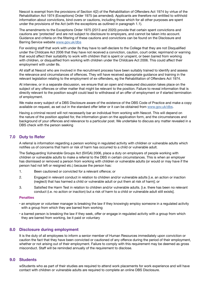Nescot is exempt from the provisions of Section 4(2) of the Rehabilitation of Offenders Act 1974 by virtue of the Rehabilitation Act 1974 (Exceptions) Order 1975 (as amended). Applicants are therefore not entitled to withhold information about convictions, bind overs or cautions, including those which for all other purposes are spent under the provisions of the Act (with the exceptions as outlined in paragraph 1.1).

The amendments to the Exceptions Order 1975 (2013 and 2020) provide that certain spent convictions and cautions are 'protected' and are not subject to disclosure to employers, and cannot be taken into account. Guidance and criteria on the filtering of these cautions and convictions can be found on the Disclosure and Barring Service website [www.gov.uk/dbs](https://www.gov.uk/government/organisations/disclosure-and-barring-service)

For existing staff that work with under 8s they have to self-declare to the College that they are not Disqualified under the Childcare Act 2006 that they have not received a conviction, caution, court order, reprimand or warning that would affect their suitability to work with children that is spent or unspent, or been barred from working with children, or disqualified from working with children under the Childcare Act 2006. This could affect their employment with under 8s.

All staff at Nescot who are involved in the recruitment process have been suitably trained to identify and assess the relevance and circumstances of offences. They will have received appropriate guidance and training in the relevant legislation relating to the employment of ex-offenders, eg the Rehabilitation of Offenders Act 1974.

At interview, or in a separate discussion, we ensure that an open and measured discussion takes place on the subject of any offences or other matter that might be relevant to the position. Failure to reveal information that is directly relevant to the position sought could lead to withdrawal of an offer of employment or if started termination of employment.

We make every subject of a DBS Disclosure aware of the existence of the DBS Code of Practice and make a copy available on request, as set out in the standard offer letter or it can be obtained from [www.gov.uk/dbs](https://www.gov.uk/government/organisations/disclosure-and-barring-service).

Having a criminal record will not necessarily bar an individual from working with Nescot. This will depend on the nature of the position applied for, the information given on the application form, and the circumstances and background of your offences and relevance to a particular post. We undertake to discuss any matter revealed in a DBS check with the person seeking

# **7.0 Duty to Refer**

A referral is information regarding a person working in regulated activity with children or vulnerable adults which notifies us of concerns that harm or risk of harm has occurred to a child or vulnerable adult.

The Safeguarding Vulnerable Groups Act (SVGA) 2006, place a duty on employers of people working with children or vulnerable adults to make a referral to the DBS in certain circumstances. This is when an employer has dismissed or removed a person from working with children or vulnerable adults (or would or may have if the person had not left or resigned etc.) because the person has:

- 1. Been cautioned or convicted for a relevant offence; or
- 2. Engaged in relevant conduct in relation to children and/or vulnerable adults [i.e. an action or inaction (neglect) that has harmed a child or vulnerable adult or put them at risk of harm]; or
- 3. Satisfied the Harm Test in relation to children and/or vulnerable adults. [i.e. there has been no relevant conduct (i.e. no action or inaction) but a risk of harm to a child or vulnerable adult still exists].

### **Penalties**

- an employer or volunteer manager is breaking the law if they knowingly employ someone in a regulated activity with a group from which they are barred from working
- a barred person is breaking the law if they seek, offer or engage in regulated activity with a group from which they are barred from working, be it paid or voluntary

# **8.0 Disclosure during employment**

It is the duty of all employees to inform a senior member of Human Resources immediately upon conviction or caution the fact that they have been convicted or cautioned of any offence during the period of their employment, whether or not arising out of their employment. Failure to comply with this requirement may be deemed as gross misconduct. Staff will be reminded annually of the requirement to disclose.

# **9.0 Students**

wStudents who as part of their studies are required to attend work placements for work experience and will have contact with children or vulnerable adults are required to complete an online DBS Disclosure.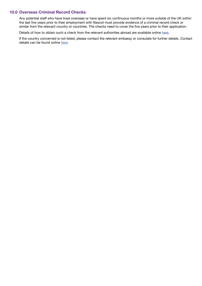# **10.0 Overseas Criminal Record Checks**

Any potential staff who have lived overseas or have spent six continuous months or more outside of the UK within the last five years prior to their employment with Nescot must provide evidence of a criminal record check or similar from the relevant country or countries. The checks need to cover the five years prior to their application.

Details of how to obtain such a check from the relevant authorities abroad are available online [here](https://www.gov.uk/government/publications/criminal-records-checks-for-overseas-applicants).

If the country concerned is not listed, please contact the relevant embassy or consulate for further details. Contact details can be found online [here](https://www.gov.uk/government/publications/foreign-embassies-in-the-uk).